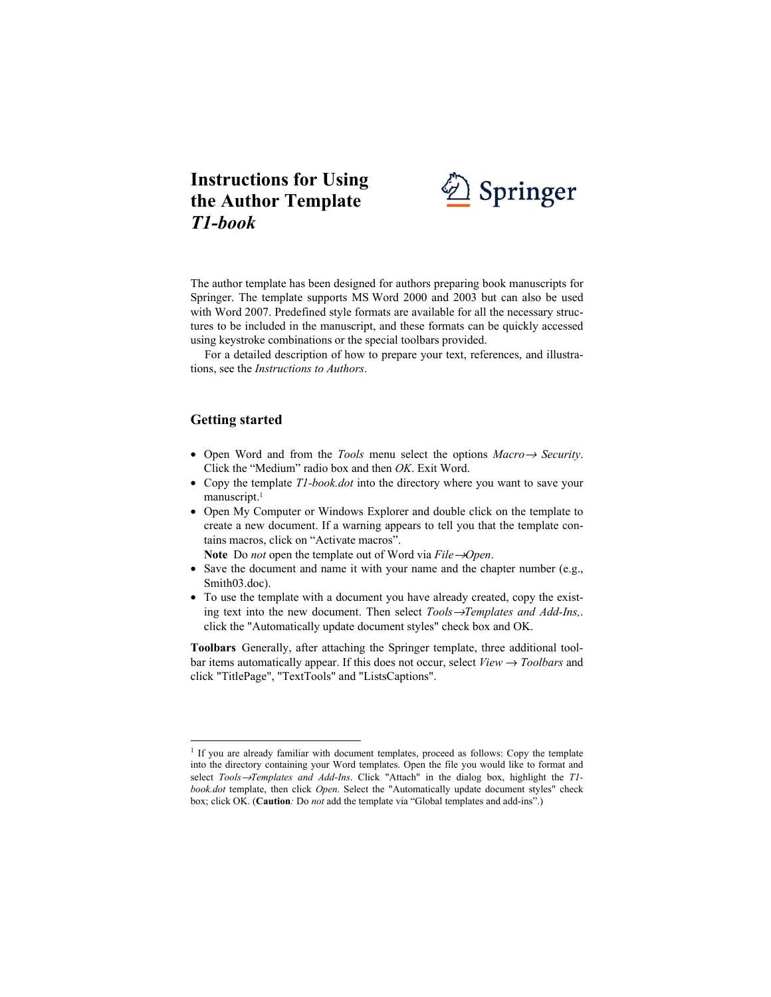

The author template has been designed for authors preparing book manuscripts for Springer. The template supports MS Word 2000 and 2003 but can also be used with Word 2007. Predefined style formats are available for all the necessary structures to be included in the manuscript, and these formats can be quickly accessed using keystroke combinations or the special toolbars provided.

For a detailed description of how to prepare your text, references, and illustrations, see the *Instructions to Authors*.

# **Getting started**

 $\overline{a}$ 

- Open Word and from the *Tools* menu select the options *Macro*→ *Security*. Click the "Medium" radio box and then *OK*. Exit Word.
- Copy the template *T1-book.dot* into the directory where you want to save your manuscript.<sup>1</sup>
- Open My Computer or Windows Explorer and double click on the template to create a new document. If a warning appears to tell you that the template contains macros, click on "Activate macros".

**Note** Do *not* open the template out of Word via *File*→*Open*.

- Save the document and name it with your name and the chapter number (e.g., Smith03.doc).
- To use the template with a document you have already created, copy the existing text into the new document. Then select *Tools*→*Templates and Add-Ins,*. click the "Automatically update document styles" check box and OK.

**Toolbars** Generally, after attaching the Springer template, three additional toolbar items automatically appear. If this does not occur, select  $View \rightarrow Toolbox$  and click "TitlePage", "TextTools" and "ListsCaptions".

<sup>&</sup>lt;sup>1</sup> If you are already familiar with document templates, proceed as follows: Copy the template into the directory containing your Word templates. Open the file you would like to format and select *Tools*→*Templates and Add-Ins*. Click "Attach" in the dialog box, highlight the *T1 book.dot* template, then click *Open*. Select the "Automatically update document styles" check box; click OK. (**Caution***:* Do *not* add the template via "Global templates and add-ins".)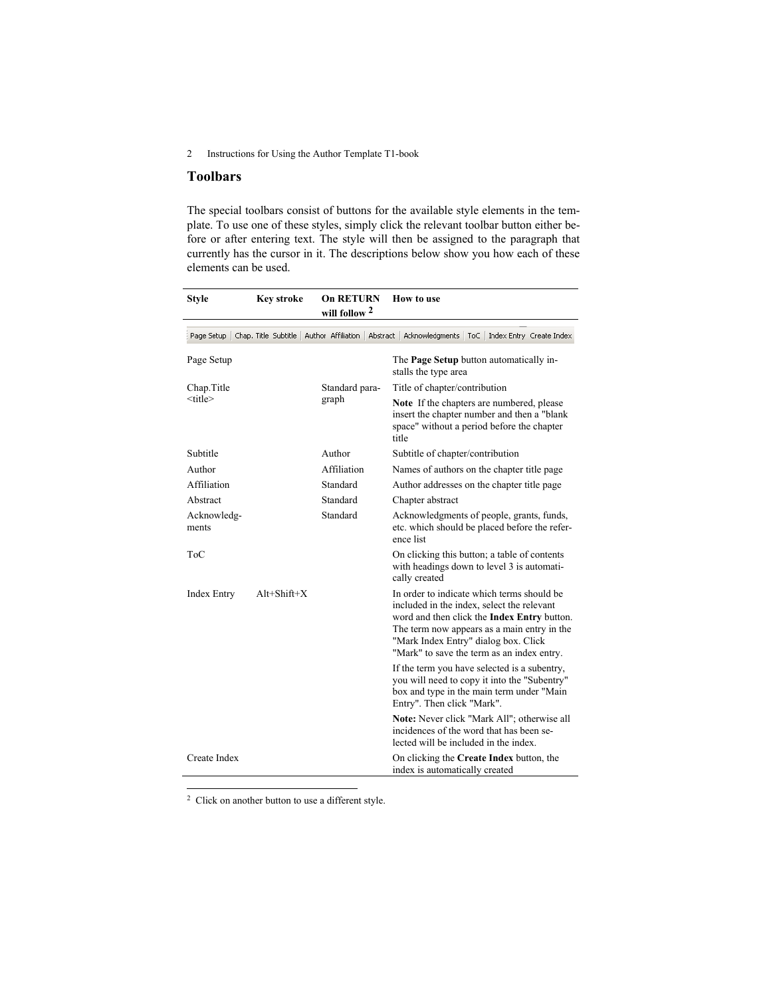## **Toolbars**

The special toolbars consist of buttons for the available style elements in the template. To use one of these styles, simply click the relevant toolbar button either before or after entering text. The style will then be assigned to the paragraph that currently has the cursor in it. The descriptions below show you how each of these elements can be used.

| <b>Style</b>         | <b>Key stroke</b>    | <b>On RETURN</b><br>will follow 2 | How to use                                                                                                                                                                                                                                                                          |
|----------------------|----------------------|-----------------------------------|-------------------------------------------------------------------------------------------------------------------------------------------------------------------------------------------------------------------------------------------------------------------------------------|
| Page Setup           | Chap. Title Subtitle | Author Affiliation   Abstract     | Acknowledgments<br>Index Entry Create Index<br>ToC                                                                                                                                                                                                                                  |
| Page Setup           |                      |                                   | The <b>Page Setup</b> button automatically in-<br>stalls the type area                                                                                                                                                                                                              |
| Chap. Title          |                      | Standard para-<br>graph           | Title of chapter/contribution                                                                                                                                                                                                                                                       |
| <title></title>      |                      |                                   | Note If the chapters are numbered, please<br>insert the chapter number and then a "blank<br>space" without a period before the chapter<br>title                                                                                                                                     |
| Subtitle             |                      | Author                            | Subtitle of chapter/contribution                                                                                                                                                                                                                                                    |
| Author               |                      | Affiliation                       | Names of authors on the chapter title page                                                                                                                                                                                                                                          |
| Affiliation          |                      | Standard                          | Author addresses on the chapter title page                                                                                                                                                                                                                                          |
| Abstract             |                      | Standard                          | Chapter abstract                                                                                                                                                                                                                                                                    |
| Acknowledg-<br>ments |                      | Standard                          | Acknowledgments of people, grants, funds,<br>etc. which should be placed before the refer-<br>ence list                                                                                                                                                                             |
| <b>ToC</b>           |                      |                                   | On clicking this button; a table of contents<br>with headings down to level 3 is automati-<br>cally created                                                                                                                                                                         |
| <b>Index Entry</b>   | $Alt+Shift+X$        |                                   | In order to indicate which terms should be<br>included in the index, select the relevant<br>word and then click the <b>Index Entry</b> button.<br>The term now appears as a main entry in the<br>"Mark Index Entry" dialog box. Click<br>"Mark" to save the term as an index entry. |
|                      |                      |                                   | If the term you have selected is a subentry,<br>you will need to copy it into the "Subentry"<br>box and type in the main term under "Main<br>Entry". Then click "Mark".                                                                                                             |
|                      |                      |                                   | Note: Never click "Mark All"; otherwise all<br>incidences of the word that has been se-<br>lected will be included in the index.                                                                                                                                                    |
| Create Index         |                      |                                   | On clicking the Create Index button, the<br>index is automatically created                                                                                                                                                                                                          |

 $2$  Click on another button to use a different style.

 $\overline{a}$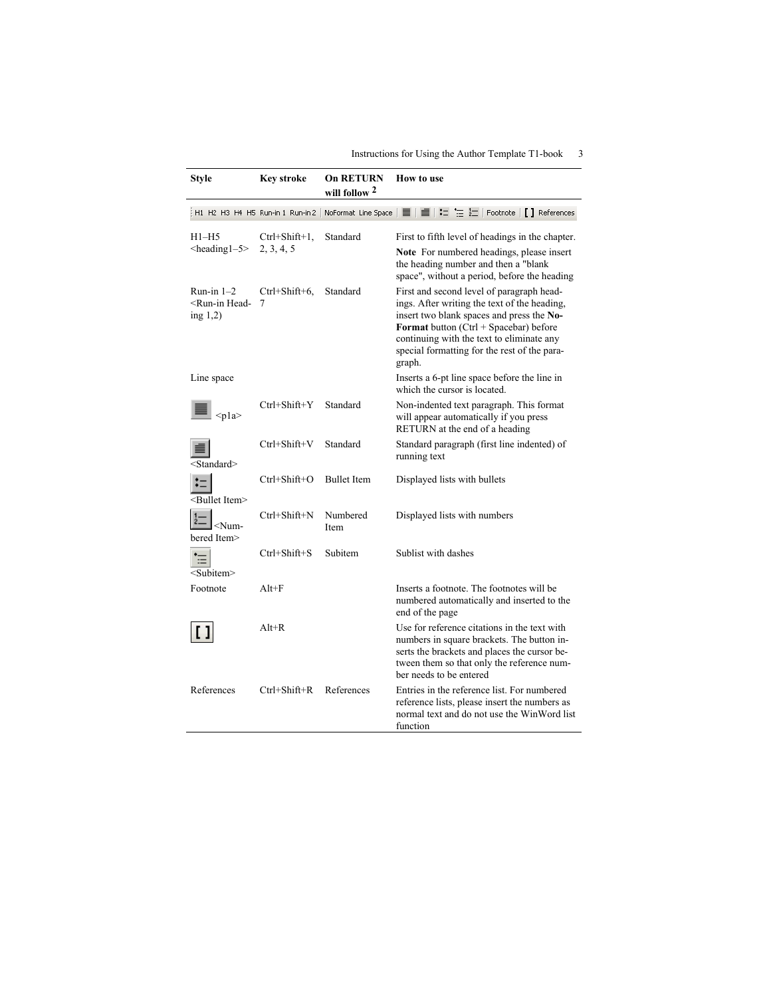| <b>Style</b>                                                       | Key stroke                        | <b>On RETURN</b><br>will follow <sup>2</sup> | <b>How to use</b>                                                                                                                                                                                                                                                                                |
|--------------------------------------------------------------------|-----------------------------------|----------------------------------------------|--------------------------------------------------------------------------------------------------------------------------------------------------------------------------------------------------------------------------------------------------------------------------------------------------|
|                                                                    | H1 H2 H3 H4 H5 Run-in 1 Run-in 2  |                                              | NoFormat Line Space   畺   匵   辷 <sup>+</sup> 三 社   Footnote   <b>[ ]</b> References                                                                                                                                                                                                              |
| H1–H5<br>$\leq$ heading $1-5$                                      | $Ctrl + Shift + 1,$<br>2, 3, 4, 5 | Standard                                     | First to fifth level of headings in the chapter.<br>Note For numbered headings, please insert<br>the heading number and then a "blank<br>space", without a period, before the heading                                                                                                            |
| Run-in $1-2$<br><run-in head-<br="">ing <math>1,2</math>)</run-in> | $Ctrl+Shift+6,$<br>7              | Standard                                     | First and second level of paragraph head-<br>ings. After writing the text of the heading,<br>insert two blank spaces and press the No-<br><b>Format</b> button $(Ctrl + Spacebar)$ before<br>continuing with the text to eliminate any<br>special formatting for the rest of the para-<br>graph. |
| Line space                                                         |                                   |                                              | Inserts a 6-pt line space before the line in<br>which the cursor is located.                                                                                                                                                                                                                     |
| $<$ pla>                                                           | $Ctrl + Shift + Y$                | Standard                                     | Non-indented text paragraph. This format<br>will appear automatically if you press<br>RETURN at the end of a heading                                                                                                                                                                             |
| <standard></standard>                                              | $Ctrl + Shift + V$                | Standard                                     | Standard paragraph (first line indented) of<br>running text                                                                                                                                                                                                                                      |
| <bullet item=""></bullet>                                          | $Ctrl + Shift + O$                | <b>Bullet Item</b>                           | Displayed lists with bullets                                                                                                                                                                                                                                                                     |
| <num-<br>bered Item&gt;</num-<br>                                  | Ctrl+Shift+N                      | Numbered<br>Item                             | Displayed lists with numbers                                                                                                                                                                                                                                                                     |
| <subitem></subitem>                                                | $Ctrl + Shift + S$                | Subitem                                      | Sublist with dashes                                                                                                                                                                                                                                                                              |
| Footnote                                                           | $Alt+F$                           |                                              | Inserts a footnote. The footnotes will be<br>numbered automatically and inserted to the<br>end of the page                                                                                                                                                                                       |
|                                                                    | $Alt+R$                           |                                              | Use for reference citations in the text with<br>numbers in square brackets. The button in-<br>serts the brackets and places the cursor be-<br>tween them so that only the reference num-<br>ber needs to be entered                                                                              |
| References                                                         | $Ctrl + Shift + R$                | References                                   | Entries in the reference list. For numbered<br>reference lists, please insert the numbers as<br>normal text and do not use the WinWord list<br>function                                                                                                                                          |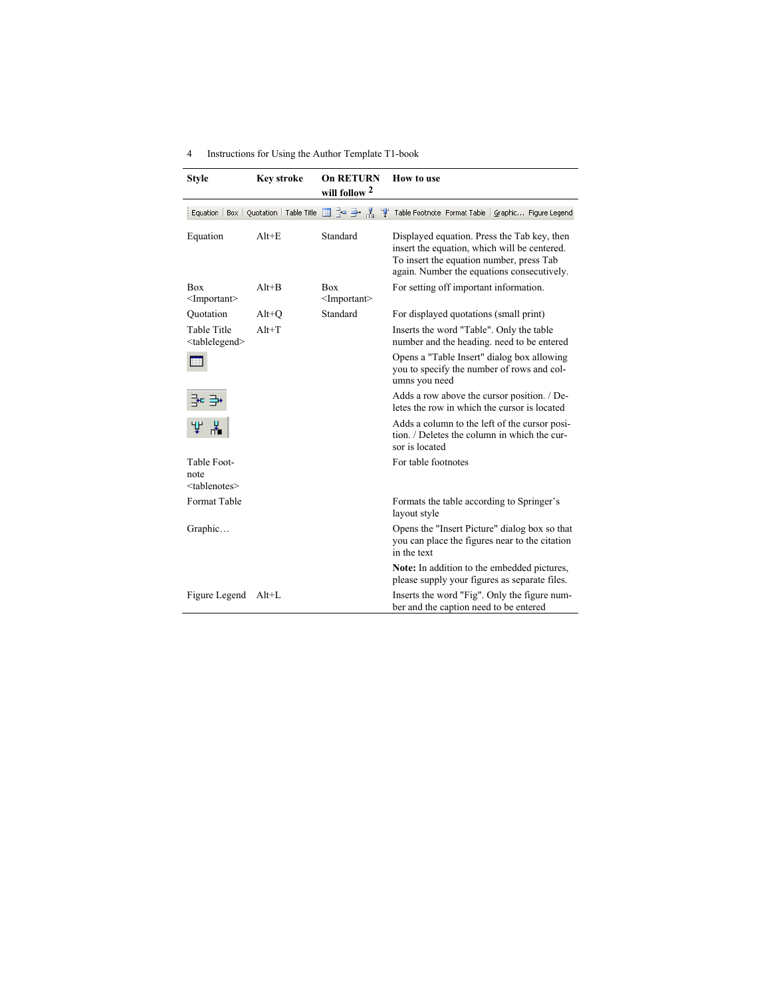| <b>Style</b>                                      | <b>Key stroke</b>                        | <b>On RETURN</b><br>will follow <sup>2</sup> | How to use                                                                                                                                                                            |
|---------------------------------------------------|------------------------------------------|----------------------------------------------|---------------------------------------------------------------------------------------------------------------------------------------------------------------------------------------|
|                                                   | Equation   Box   Quotation   Table Title |                                              | 급드 글• 봄   '받' Table Footnote Format Table   Graphic Figure Legend                                                                                                                     |
| Equation                                          | $Alt + E$                                | Standard                                     | Displayed equation. Press the Tab key, then<br>insert the equation, which will be centered.<br>To insert the equation number, press Tab<br>again. Number the equations consecutively. |
| <b>Box</b><br>$\leq$ Important $\geq$             | $Alt+B$                                  | <b>Box</b><br><important></important>        | For setting off important information.                                                                                                                                                |
| Ouotation                                         | $Alt+O$                                  | Standard                                     | For displayed quotations (small print)                                                                                                                                                |
| <b>Table Title</b><br><tablelegend></tablelegend> | $Alt+T$                                  |                                              | Inserts the word "Table". Only the table<br>number and the heading, need to be entered                                                                                                |
|                                                   |                                          |                                              | Opens a "Table Insert" dialog box allowing<br>you to specify the number of rows and col-<br>umns you need                                                                             |
|                                                   |                                          |                                              | Adds a row above the cursor position. / De-<br>letes the row in which the cursor is located                                                                                           |
| m                                                 |                                          |                                              | Adds a column to the left of the cursor posi-<br>tion. / Deletes the column in which the cur-<br>sor is located                                                                       |
| Table Foot-                                       |                                          |                                              | For table footnotes                                                                                                                                                                   |
| note<br><tablenotes></tablenotes>                 |                                          |                                              |                                                                                                                                                                                       |
| Format Table                                      |                                          |                                              | Formats the table according to Springer's<br>layout style                                                                                                                             |
| Graphic                                           |                                          |                                              | Opens the "Insert Picture" dialog box so that<br>you can place the figures near to the citation<br>in the text                                                                        |
|                                                   |                                          |                                              | Note: In addition to the embedded pictures,<br>please supply your figures as separate files.                                                                                          |
| Figure Legend                                     | $Alt+L$                                  |                                              | Inserts the word "Fig". Only the figure num-<br>ber and the caption need to be entered                                                                                                |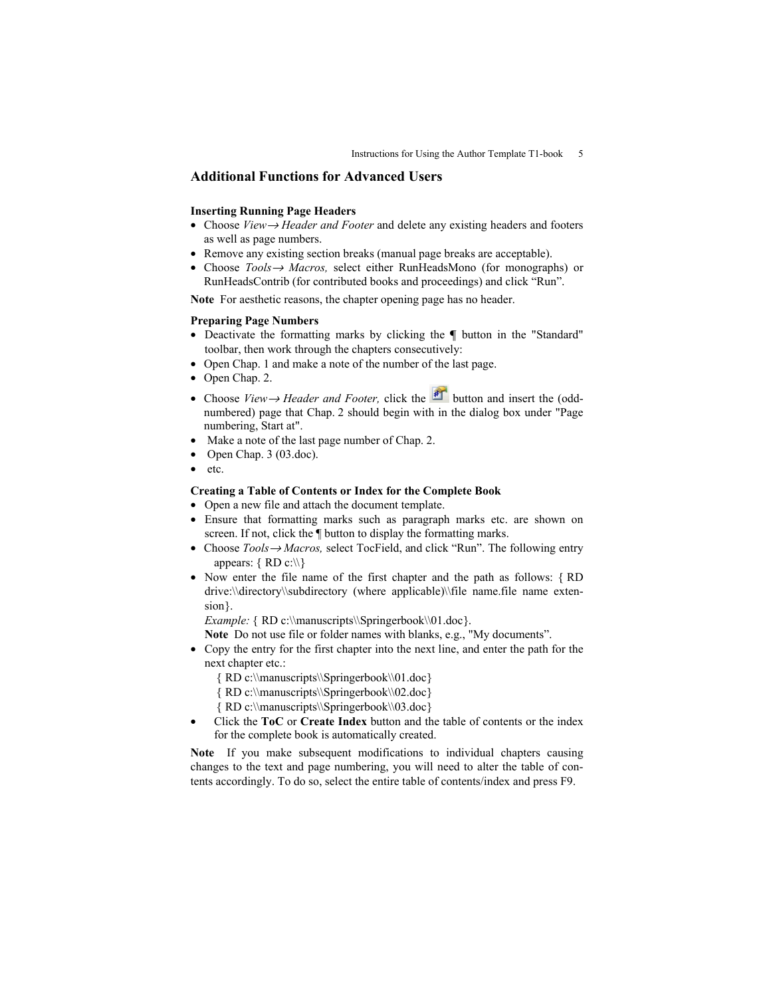## **Additional Functions for Advanced Users**

#### **Inserting Running Page Headers**

- Choose *View*→ *Header and Footer* and delete any existing headers and footers as well as page numbers.
- Remove any existing section breaks (manual page breaks are acceptable).
- Choose *Tools*→ *Macros,* select either RunHeadsMono (for monographs) or RunHeadsContrib (for contributed books and proceedings) and click "Run".

**Note** For aesthetic reasons, the chapter opening page has no header.

#### **Preparing Page Numbers**

- Deactivate the formatting marks by clicking the **¶** button in the "Standard" toolbar, then work through the chapters consecutively:
- Open Chap. 1 and make a note of the number of the last page.
- Open Chap. 2.
- Choose *View→ Header and Footer*, click the **formal** button and insert the (oddnumbered) page that Chap. 2 should begin with in the dialog box under "Page numbering, Start at".
- Make a note of the last page number of Chap. 2.
- Open Chap. 3 (03.doc).
- etc.

#### **Creating a Table of Contents or Index for the Complete Book**

- Open a new file and attach the document template.
- Ensure that formatting marks such as paragraph marks etc. are shown on screen. If not, click the  $\P$  button to display the formatting marks.
- Choose *Tools*→ *Macros,* select TocField, and click "Run". The following entry appears:  $\{ RD \ c:\ \}$
- Now enter the file name of the first chapter and the path as follows: { RD drive:\\directory\\subdirectory (where applicable)\\file name.file name extension}.

*Example:* { RD c:\\manuscripts\\Springerbook\\01.doc}.

**Note** Do not use file or folder names with blanks, e.g., "My documents".

- Copy the entry for the first chapter into the next line, and enter the path for the next chapter etc.:
	- { RD c:\\manuscripts\\Springerbook\\01.doc}
	- { RD c:\\manuscripts\\Springerbook\\02.doc}
	- { RD c:\\manuscripts\\Springerbook\\03.doc}
- Click the **ToC** or **Create Index** button and the table of contents or the index for the complete book is automatically created.

**Note** If you make subsequent modifications to individual chapters causing changes to the text and page numbering, you will need to alter the table of contents accordingly. To do so, select the entire table of contents/index and press F9.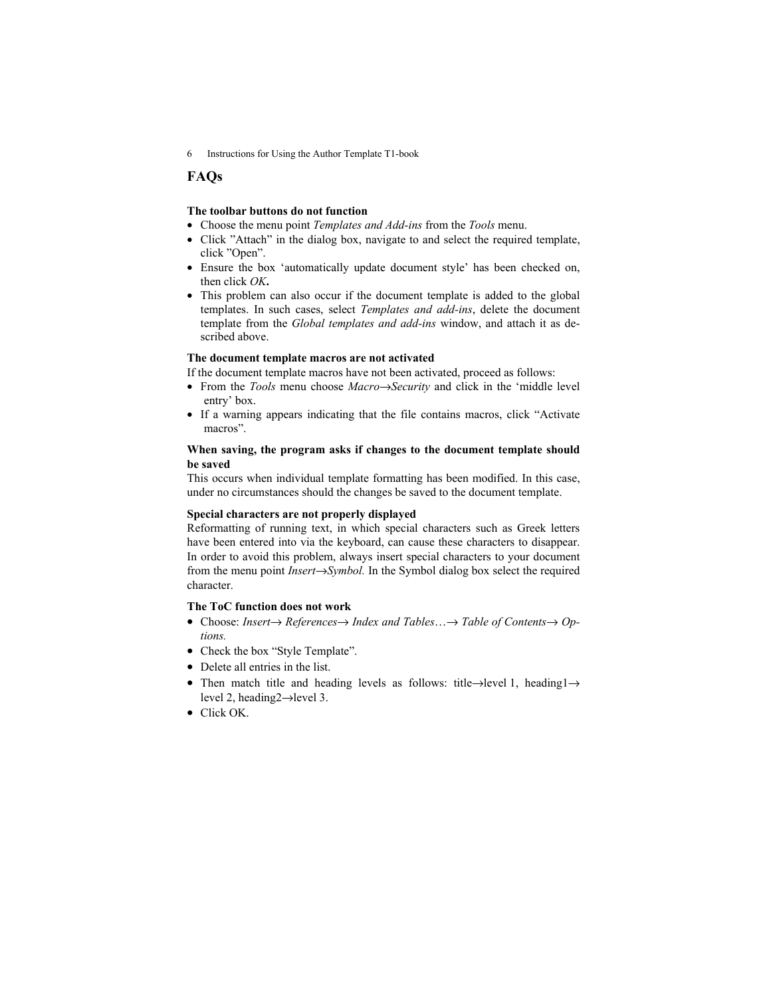## **FAQs**

#### **The toolbar buttons do not function**

- Choose the menu point *Templates and Add-ins* from the *Tools* menu.
- Click "Attach" in the dialog box, navigate to and select the required template, click "Open".
- Ensure the box 'automatically update document style' has been checked on, then click *OK***.**
- This problem can also occur if the document template is added to the global templates. In such cases, select *Templates and add-ins*, delete the document template from the *Global templates and add-ins* window, and attach it as described above.

#### **The document template macros are not activated**

If the document template macros have not been activated, proceed as follows:

- From the *Tools* menu choose *Macro*→*Security* and click in the 'middle level entry' box.
- If a warning appears indicating that the file contains macros, click "Activate macros".

## **When saving, the program asks if changes to the document template should be saved**

This occurs when individual template formatting has been modified. In this case, under no circumstances should the changes be saved to the document template.

#### **Special characters are not properly displayed**

Reformatting of running text, in which special characters such as Greek letters have been entered into via the keyboard, can cause these characters to disappear. In order to avoid this problem, always insert special characters to your document from the menu point *Insert*→*Symbol.* In the Symbol dialog box select the required character.

## **The ToC function does not work**

- Choose: *Insert*→ *References*→ *Index and Tables*…→ *Table of Contents*→ *Options.*
- Check the box "Style Template".
- Delete all entries in the list.
- Then match title and heading levels as follows: title→level 1, heading1→ level 2, heading2→level 3.
- Click OK.